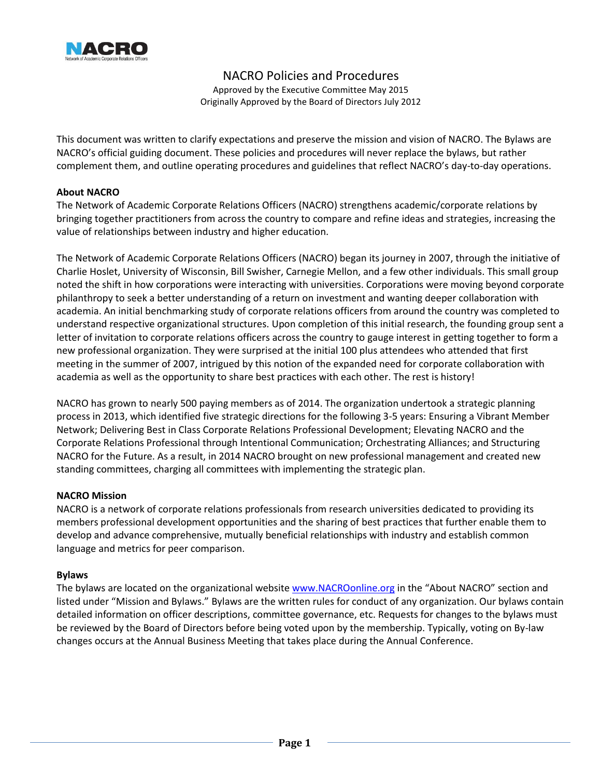

NACRO Policies and Procedures

Approved by the Executive Committee May 2015 Originally Approved by the Board of Directors July 2012

This document was written to clarify expectations and preserve the mission and vision of NACRO. The Bylaws are NACRO's official guiding document. These policies and procedures will never replace the bylaws, but rather complement them, and outline operating procedures and guidelines that reflect NACRO's day-to-day operations.

# **About NACRO**

The Network of Academic Corporate Relations Officers (NACRO) strengthens academic/corporate relations by bringing together practitioners from across the country to compare and refine ideas and strategies, increasing the value of relationships between industry and higher education.

The Network of Academic Corporate Relations Officers (NACRO) began its journey in 2007, through the initiative of Charlie Hoslet, University of Wisconsin, Bill Swisher, Carnegie Mellon, and a few other individuals. This small group noted the shift in how corporations were interacting with universities. Corporations were moving beyond corporate philanthropy to seek a better understanding of a return on investment and wanting deeper collaboration with academia. An initial benchmarking study of corporate relations officers from around the country was completed to understand respective organizational structures. Upon completion of this initial research, the founding group sent a letter of invitation to corporate relations officers across the country to gauge interest in getting together to form a new professional organization. They were surprised at the initial 100 plus attendees who attended that first meeting in the summer of 2007, intrigued by this notion of the expanded need for corporate collaboration with academia as well as the opportunity to share best practices with each other. The rest is history!

NACRO has grown to nearly 500 paying members as of 2014. The organization undertook a strategic planning process in 2013, which identified five strategic directions for the following 3-5 years: Ensuring a Vibrant Member Network; Delivering Best in Class Corporate Relations Professional Development; Elevating NACRO and the Corporate Relations Professional through Intentional Communication; Orchestrating Alliances; and Structuring NACRO for the Future. As a result, in 2014 NACRO brought on new professional management and created new standing committees, charging all committees with implementing the strategic plan.

# **NACRO Mission**

NACRO is a network of corporate relations professionals from research universities dedicated to providing its members professional development opportunities and the sharing of best practices that further enable them to develop and advance comprehensive, mutually beneficial relationships with industry and establish common language and metrics for peer comparison.

# **Bylaws**

The bylaws are located on the organizational website [www.NACROonline.org](http://www.nacroonline.org/) in the "About NACRO" section and listed under "Mission and Bylaws." Bylaws are the written rules for conduct of any organization. Our bylaws contain detailed information on officer descriptions, committee governance, etc. Requests for changes to the bylaws must be reviewed by the Board of Directors before being voted upon by the membership. Typically, voting on By-law changes occurs at the Annual Business Meeting that takes place during the Annual Conference.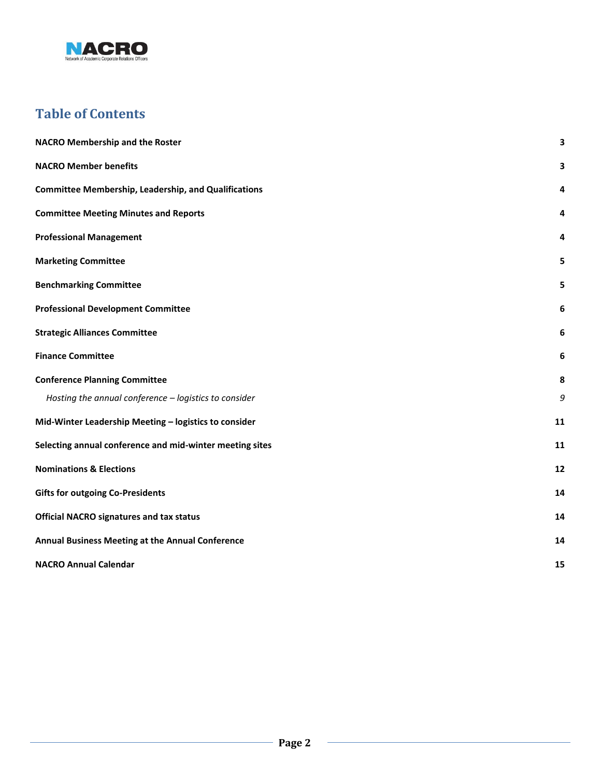

# **Table of Contents**

| <b>NACRO Membership and the Roster</b>                      | 3  |
|-------------------------------------------------------------|----|
| <b>NACRO Member benefits</b>                                | 3  |
| <b>Committee Membership, Leadership, and Qualifications</b> | 4  |
| <b>Committee Meeting Minutes and Reports</b>                | 4  |
| <b>Professional Management</b>                              | 4  |
| <b>Marketing Committee</b>                                  | 5  |
| <b>Benchmarking Committee</b>                               | 5  |
| <b>Professional Development Committee</b>                   | 6  |
| <b>Strategic Alliances Committee</b>                        | 6  |
| <b>Finance Committee</b>                                    | 6  |
| <b>Conference Planning Committee</b>                        | 8  |
| Hosting the annual conference - logistics to consider       | 9  |
| Mid-Winter Leadership Meeting - logistics to consider       | 11 |
| Selecting annual conference and mid-winter meeting sites    | 11 |
| <b>Nominations &amp; Elections</b>                          | 12 |
| <b>Gifts for outgoing Co-Presidents</b>                     | 14 |
| <b>Official NACRO signatures and tax status</b>             | 14 |
| Annual Business Meeting at the Annual Conference            | 14 |
| <b>NACRO Annual Calendar</b>                                | 15 |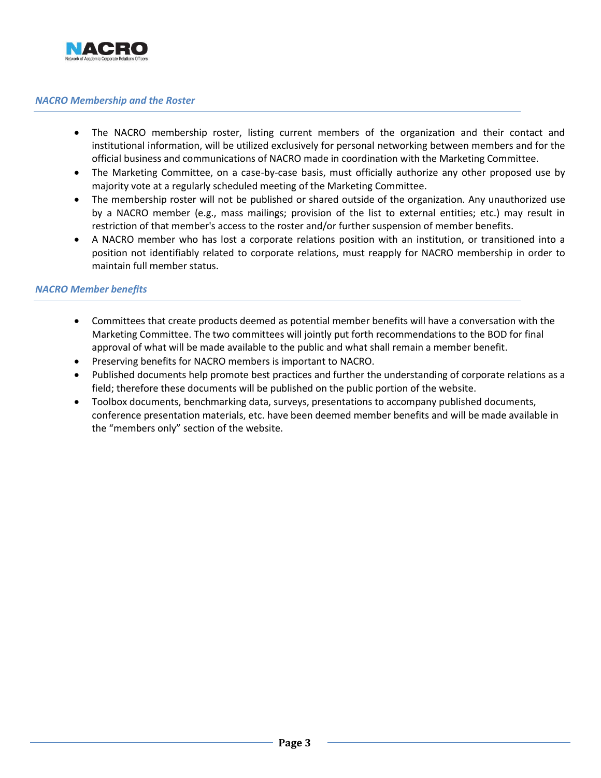

## <span id="page-2-0"></span>*NACRO Membership and the Roster*

- The NACRO membership roster, listing current members of the organization and their contact and institutional information, will be utilized exclusively for personal networking between members and for the official business and communications of NACRO made in coordination with the Marketing Committee.
- The Marketing Committee, on a case-by-case basis, must officially authorize any other proposed use by majority vote at a regularly scheduled meeting of the Marketing Committee.
- The membership roster will not be published or shared outside of the organization. Any unauthorized use by a NACRO member (e.g., mass mailings; provision of the list to external entities; etc.) may result in restriction of that member's access to the roster and/or further suspension of member benefits.
- A NACRO member who has lost a corporate relations position with an institution, or transitioned into a position not identifiably related to corporate relations, must reapply for NACRO membership in order to maintain full member status.

### <span id="page-2-1"></span>*NACRO Member benefits*

- Committees that create products deemed as potential member benefits will have a conversation with the Marketing Committee. The two committees will jointly put forth recommendations to the BOD for final approval of what will be made available to the public and what shall remain a member benefit.
- Preserving benefits for NACRO members is important to NACRO.
- Published documents help promote best practices and further the understanding of corporate relations as a field; therefore these documents will be published on the public portion of the website.
- Toolbox documents, benchmarking data, surveys, presentations to accompany published documents, conference presentation materials, etc. have been deemed member benefits and will be made available in the "members only" section of the website.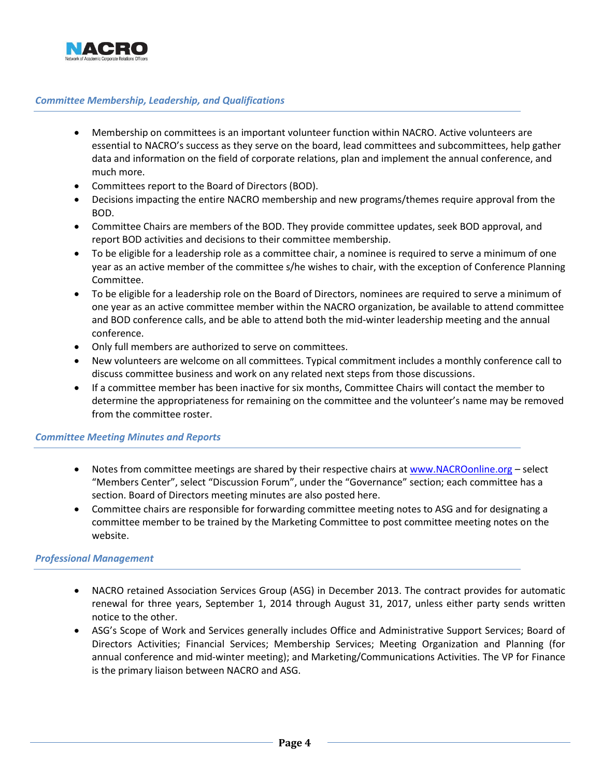

# <span id="page-3-0"></span>*Committee Membership, Leadership, and Qualifications*

- Membership on committees is an important volunteer function within NACRO. Active volunteers are essential to NACRO's success as they serve on the board, lead committees and subcommittees, help gather data and information on the field of corporate relations, plan and implement the annual conference, and much more.
- Committees report to the Board of Directors (BOD).
- Decisions impacting the entire NACRO membership and new programs/themes require approval from the BOD.
- Committee Chairs are members of the BOD. They provide committee updates, seek BOD approval, and report BOD activities and decisions to their committee membership.
- To be eligible for a leadership role as a committee chair, a nominee is required to serve a minimum of one year as an active member of the committee s/he wishes to chair, with the exception of Conference Planning Committee.
- To be eligible for a leadership role on the Board of Directors, nominees are required to serve a minimum of one year as an active committee member within the NACRO organization, be available to attend committee and BOD conference calls, and be able to attend both the mid-winter leadership meeting and the annual conference.
- Only full members are authorized to serve on committees.
- New volunteers are welcome on all committees. Typical commitment includes a monthly conference call to discuss committee business and work on any related next steps from those discussions.
- If a committee member has been inactive for six months, Committee Chairs will contact the member to determine the appropriateness for remaining on the committee and the volunteer's name may be removed from the committee roster.

#### <span id="page-3-1"></span>*Committee Meeting Minutes and Reports*

- Notes from committee meetings are shared by their respective chairs a[t www.NACROonline.org](http://www.nacroonline.org/) select "Members Center", select "Discussion Forum", under the "Governance" section; each committee has a section. Board of Directors meeting minutes are also posted here.
- Committee chairs are responsible for forwarding committee meeting notes to ASG and for designating a committee member to be trained by the Marketing Committee to post committee meeting notes on the website.

#### <span id="page-3-2"></span>*Professional Management*

- NACRO retained Association Services Group (ASG) in December 2013. The contract provides for automatic renewal for three years, September 1, 2014 through August 31, 2017, unless either party sends written notice to the other.
- ASG's Scope of Work and Services generally includes Office and Administrative Support Services; Board of Directors Activities; Financial Services; Membership Services; Meeting Organization and Planning (for annual conference and mid-winter meeting); and Marketing/Communications Activities. The VP for Finance is the primary liaison between NACRO and ASG.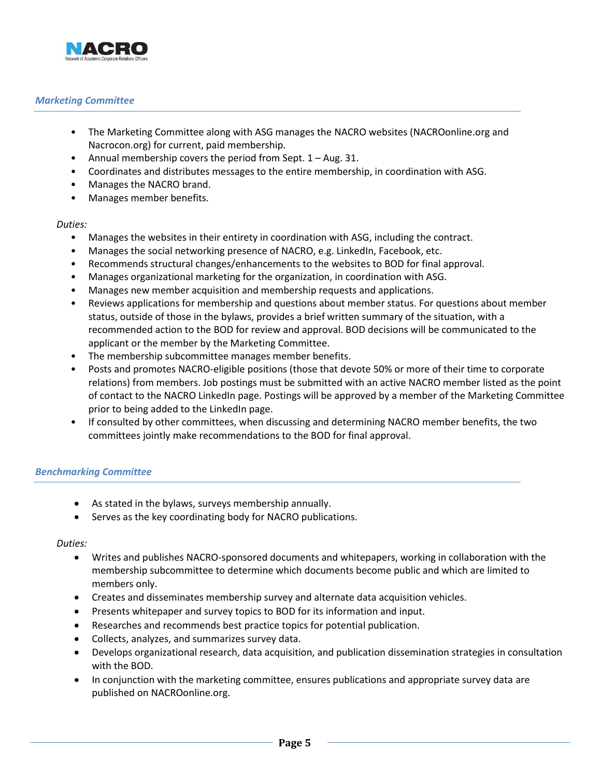

# <span id="page-4-0"></span>*Marketing Committee*

- The Marketing Committee along with ASG manages the NACRO websites (NACROonline.org and Nacrocon.org) for current, paid membership.
- Annual membership covers the period from Sept. 1 Aug. 31.
- Coordinates and distributes messages to the entire membership, in coordination with ASG.
- Manages the NACRO brand.
- Manages member benefits.

#### *Duties:*

- Manages the websites in their entirety in coordination with ASG, including the contract.
- Manages the social networking presence of NACRO, e.g. LinkedIn, Facebook, etc.
- Recommends structural changes/enhancements to the websites to BOD for final approval.
- Manages organizational marketing for the organization, in coordination with ASG.
- Manages new member acquisition and membership requests and applications.
- Reviews applications for membership and questions about member status. For questions about member status, outside of those in the bylaws, provides a brief written summary of the situation, with a recommended action to the BOD for review and approval. BOD decisions will be communicated to the applicant or the member by the Marketing Committee.
- The membership subcommittee manages member benefits.
- Posts and promotes NACRO-eligible positions (those that devote 50% or more of their time to corporate relations) from members. Job postings must be submitted with an active NACRO member listed as the point of contact to the NACRO LinkedIn page. Postings will be approved by a member of the Marketing Committee prior to being added to the LinkedIn page.
- If consulted by other committees, when discussing and determining NACRO member benefits, the two committees jointly make recommendations to the BOD for final approval.

# <span id="page-4-1"></span>*Benchmarking Committee*

- As stated in the bylaws, surveys membership annually.
- Serves as the key coordinating body for NACRO publications.

- Writes and publishes NACRO-sponsored documents and whitepapers, working in collaboration with the membership subcommittee to determine which documents become public and which are limited to members only.
- Creates and disseminates membership survey and alternate data acquisition vehicles.
- Presents whitepaper and survey topics to BOD for its information and input.
- Researches and recommends best practice topics for potential publication.
- Collects, analyzes, and summarizes survey data.
- Develops organizational research, data acquisition, and publication dissemination strategies in consultation with the BOD.
- In conjunction with the marketing committee, ensures publications and appropriate survey data are published on NACROonline.org.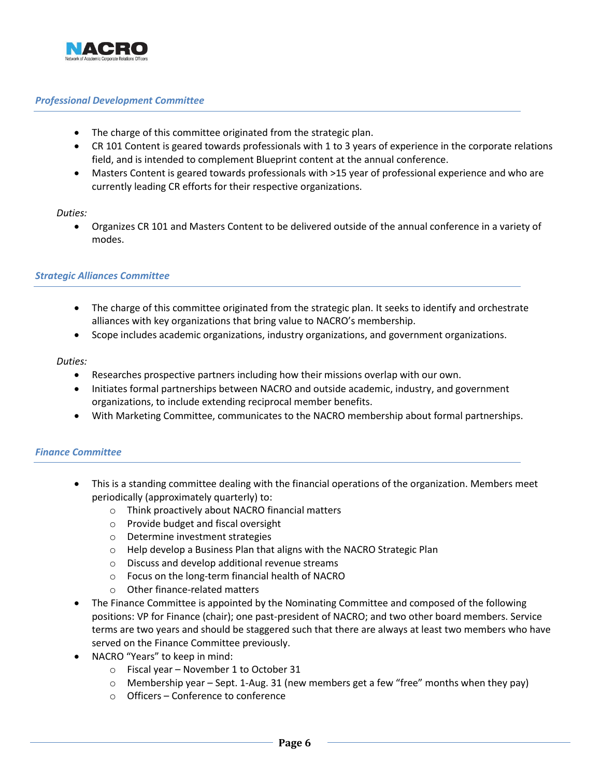

# <span id="page-5-0"></span>*Professional Development Committee*

- The charge of this committee originated from the strategic plan.
- CR 101 Content is geared towards professionals with 1 to 3 years of experience in the corporate relations field, and is intended to complement Blueprint content at the annual conference.
- Masters Content is geared towards professionals with >15 year of professional experience and who are currently leading CR efforts for their respective organizations.

### *Duties:*

 Organizes CR 101 and Masters Content to be delivered outside of the annual conference in a variety of modes.

# <span id="page-5-1"></span>*Strategic Alliances Committee*

- The charge of this committee originated from the strategic plan. It seeks to identify and orchestrate alliances with key organizations that bring value to NACRO's membership.
- Scope includes academic organizations, industry organizations, and government organizations.

### *Duties:*

- Researches prospective partners including how their missions overlap with our own.
- Initiates formal partnerships between NACRO and outside academic, industry, and government organizations, to include extending reciprocal member benefits.
- With Marketing Committee, communicates to the NACRO membership about formal partnerships.

# <span id="page-5-2"></span>*Finance Committee*

- This is a standing committee dealing with the financial operations of the organization. Members meet periodically (approximately quarterly) to:
	- o Think proactively about NACRO financial matters
	- o Provide budget and fiscal oversight
	- o Determine investment strategies
	- o Help develop a Business Plan that aligns with the NACRO Strategic Plan
	- o Discuss and develop additional revenue streams
	- o Focus on the long-term financial health of NACRO
	- o Other finance-related matters
- The Finance Committee is appointed by the Nominating Committee and composed of the following positions: VP for Finance (chair); one past-president of NACRO; and two other board members. Service terms are two years and should be staggered such that there are always at least two members who have served on the Finance Committee previously.
- NACRO "Years" to keep in mind:
	- o Fiscal year November 1 to October 31
	- o Membership year Sept. 1-Aug. 31 (new members get a few "free" months when they pay)
	- o Officers Conference to conference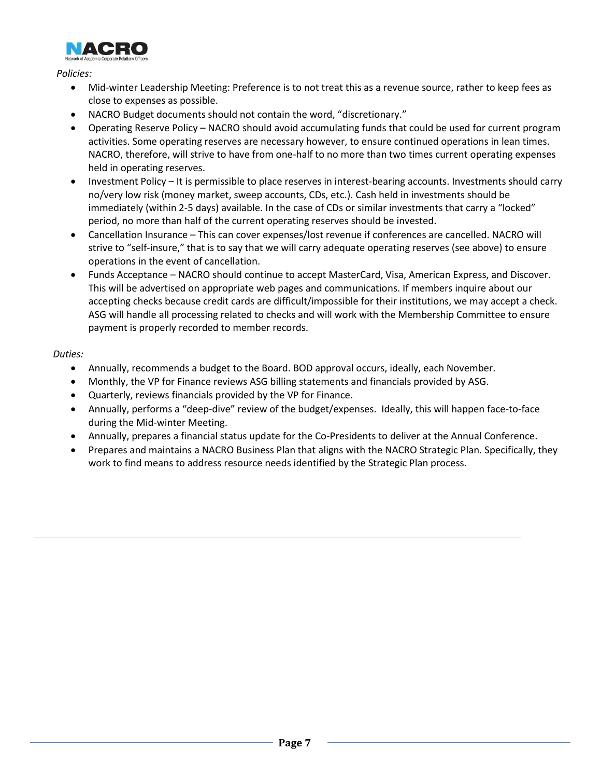

*Policies:*

- Mid-winter Leadership Meeting: Preference is to not treat this as a revenue source, rather to keep fees as close to expenses as possible.
- NACRO Budget documents should not contain the word, "discretionary."
- Operating Reserve Policy NACRO should avoid accumulating funds that could be used for current program activities. Some operating reserves are necessary however, to ensure continued operations in lean times. NACRO, therefore, will strive to have from one-half to no more than two times current operating expenses held in operating reserves.
- Investment Policy It is permissible to place reserves in interest-bearing accounts. Investments should carry no/very low risk (money market, sweep accounts, CDs, etc.). Cash held in investments should be immediately (within 2-5 days) available. In the case of CDs or similar investments that carry a "locked" period, no more than half of the current operating reserves should be invested.
- Cancellation Insurance This can cover expenses/lost revenue if conferences are cancelled. NACRO will strive to "self-insure," that is to say that we will carry adequate operating reserves (see above) to ensure operations in the event of cancellation.
- Funds Acceptance NACRO should continue to accept MasterCard, Visa, American Express, and Discover. This will be advertised on appropriate web pages and communications. If members inquire about our accepting checks because credit cards are difficult/impossible for their institutions, we may accept a check. ASG will handle all processing related to checks and will work with the Membership Committee to ensure payment is properly recorded to member records.

- Annually, recommends a budget to the Board. BOD approval occurs, ideally, each November.
- Monthly, the VP for Finance reviews ASG billing statements and financials provided by ASG.
- Quarterly, reviews financials provided by the VP for Finance.
- Annually, performs a "deep-dive" review of the budget/expenses. Ideally, this will happen face-to-face during the Mid-winter Meeting.
- Annually, prepares a financial status update for the Co-Presidents to deliver at the Annual Conference.
- Prepares and maintains a NACRO Business Plan that aligns with the NACRO Strategic Plan. Specifically, they work to find means to address resource needs identified by the Strategic Plan process.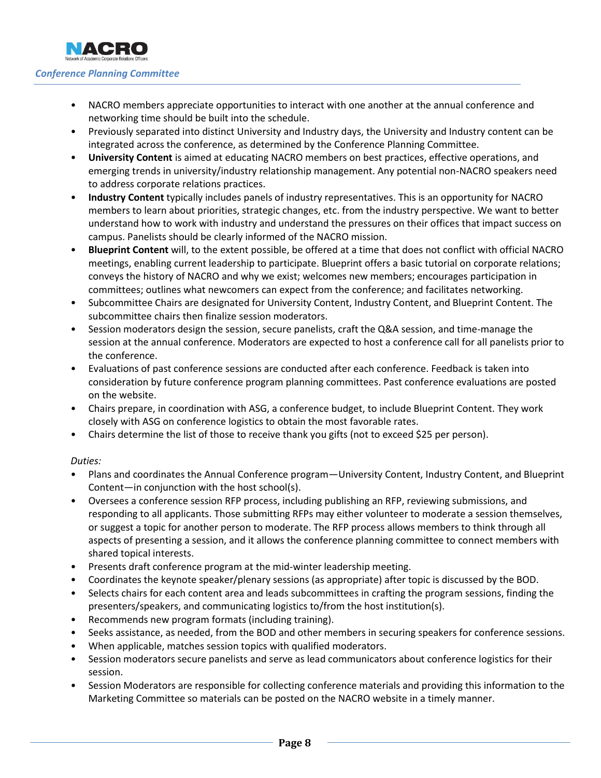<span id="page-7-0"></span>

- NACRO members appreciate opportunities to interact with one another at the annual conference and networking time should be built into the schedule.
- Previously separated into distinct University and Industry days, the University and Industry content can be integrated across the conference, as determined by the Conference Planning Committee.
- **University Content** is aimed at educating NACRO members on best practices, effective operations, and emerging trends in university/industry relationship management. Any potential non-NACRO speakers need to address corporate relations practices.
- **Industry Content** typically includes panels of industry representatives. This is an opportunity for NACRO members to learn about priorities, strategic changes, etc. from the industry perspective. We want to better understand how to work with industry and understand the pressures on their offices that impact success on campus. Panelists should be clearly informed of the NACRO mission.
- **Blueprint Content** will, to the extent possible, be offered at a time that does not conflict with official NACRO meetings, enabling current leadership to participate. Blueprint offers a basic tutorial on corporate relations; conveys the history of NACRO and why we exist; welcomes new members; encourages participation in committees; outlines what newcomers can expect from the conference; and facilitates networking.
- Subcommittee Chairs are designated for University Content, Industry Content, and Blueprint Content. The subcommittee chairs then finalize session moderators.
- Session moderators design the session, secure panelists, craft the Q&A session, and time-manage the session at the annual conference. Moderators are expected to host a conference call for all panelists prior to the conference.
- Evaluations of past conference sessions are conducted after each conference. Feedback is taken into consideration by future conference program planning committees. Past conference evaluations are posted on the website.
- Chairs prepare, in coordination with ASG, a conference budget, to include Blueprint Content. They work closely with ASG on conference logistics to obtain the most favorable rates.
- Chairs determine the list of those to receive thank you gifts (not to exceed \$25 per person).

- Plans and coordinates the Annual Conference program—University Content, Industry Content, and Blueprint Content—in conjunction with the host school(s).
- Oversees a conference session RFP process, including publishing an RFP, reviewing submissions, and responding to all applicants. Those submitting RFPs may either volunteer to moderate a session themselves, or suggest a topic for another person to moderate. The RFP process allows members to think through all aspects of presenting a session, and it allows the conference planning committee to connect members with shared topical interests.
- Presents draft conference program at the mid-winter leadership meeting.
- Coordinates the keynote speaker/plenary sessions (as appropriate) after topic is discussed by the BOD.
- Selects chairs for each content area and leads subcommittees in crafting the program sessions, finding the presenters/speakers, and communicating logistics to/from the host institution(s).
- Recommends new program formats (including training).
- Seeks assistance, as needed, from the BOD and other members in securing speakers for conference sessions.
- When applicable, matches session topics with qualified moderators.
- Session moderators secure panelists and serve as lead communicators about conference logistics for their session.
- Session Moderators are responsible for collecting conference materials and providing this information to the Marketing Committee so materials can be posted on the NACRO website in a timely manner.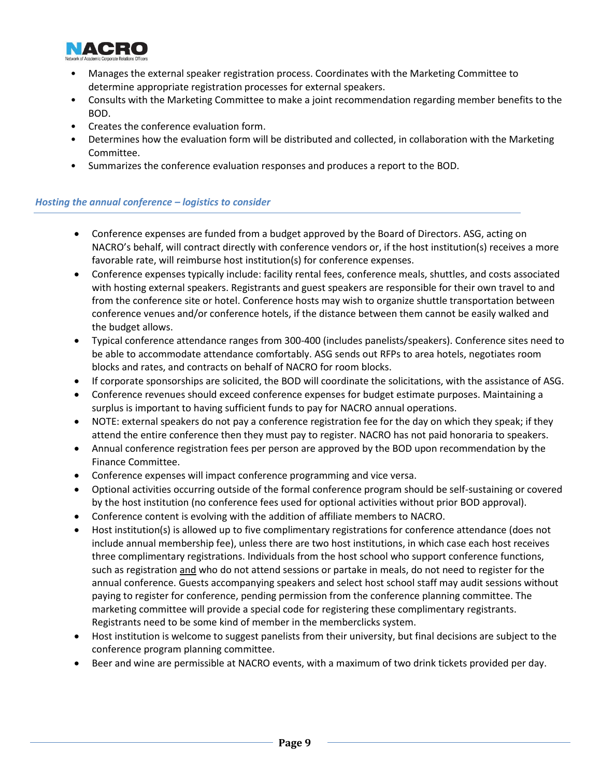

- Manages the external speaker registration process. Coordinates with the Marketing Committee to determine appropriate registration processes for external speakers.
- Consults with the Marketing Committee to make a joint recommendation regarding member benefits to the BOD.
- Creates the conference evaluation form.
- Determines how the evaluation form will be distributed and collected, in collaboration with the Marketing Committee.
- Summarizes the conference evaluation responses and produces a report to the BOD.

# <span id="page-8-0"></span>*Hosting the annual conference – logistics to consider*

- Conference expenses are funded from a budget approved by the Board of Directors. ASG, acting on NACRO's behalf, will contract directly with conference vendors or, if the host institution(s) receives a more favorable rate, will reimburse host institution(s) for conference expenses.
- Conference expenses typically include: facility rental fees, conference meals, shuttles, and costs associated with hosting external speakers. Registrants and guest speakers are responsible for their own travel to and from the conference site or hotel. Conference hosts may wish to organize shuttle transportation between conference venues and/or conference hotels, if the distance between them cannot be easily walked and the budget allows.
- Typical conference attendance ranges from 300-400 (includes panelists/speakers). Conference sites need to be able to accommodate attendance comfortably. ASG sends out RFPs to area hotels, negotiates room blocks and rates, and contracts on behalf of NACRO for room blocks.
- If corporate sponsorships are solicited, the BOD will coordinate the solicitations, with the assistance of ASG.
- Conference revenues should exceed conference expenses for budget estimate purposes. Maintaining a surplus is important to having sufficient funds to pay for NACRO annual operations.
- NOTE: external speakers do not pay a conference registration fee for the day on which they speak; if they attend the entire conference then they must pay to register. NACRO has not paid honoraria to speakers.
- Annual conference registration fees per person are approved by the BOD upon recommendation by the Finance Committee.
- Conference expenses will impact conference programming and vice versa.
- Optional activities occurring outside of the formal conference program should be self-sustaining or covered by the host institution (no conference fees used for optional activities without prior BOD approval).
- Conference content is evolving with the addition of affiliate members to NACRO.
- Host institution(s) is allowed up to five complimentary registrations for conference attendance (does not include annual membership fee), unless there are two host institutions, in which case each host receives three complimentary registrations. Individuals from the host school who support conference functions, such as registration and who do not attend sessions or partake in meals, do not need to register for the annual conference. Guests accompanying speakers and select host school staff may audit sessions without paying to register for conference, pending permission from the conference planning committee. The marketing committee will provide a special code for registering these complimentary registrants. Registrants need to be some kind of member in the memberclicks system.
- Host institution is welcome to suggest panelists from their university, but final decisions are subject to the conference program planning committee.
- Beer and wine are permissible at NACRO events, with a maximum of two drink tickets provided per day.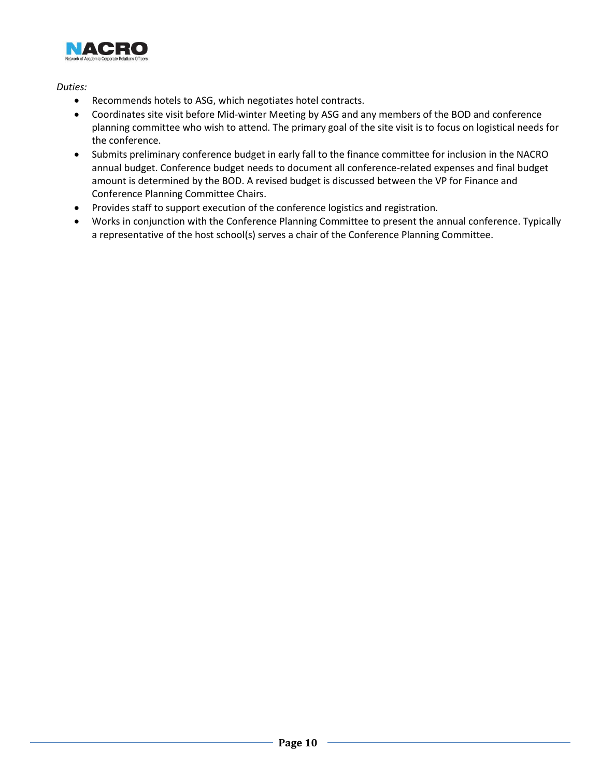

- Recommends hotels to ASG, which negotiates hotel contracts.
- Coordinates site visit before Mid-winter Meeting by ASG and any members of the BOD and conference planning committee who wish to attend. The primary goal of the site visit is to focus on logistical needs for the conference.
- Submits preliminary conference budget in early fall to the finance committee for inclusion in the NACRO annual budget. Conference budget needs to document all conference-related expenses and final budget amount is determined by the BOD. A revised budget is discussed between the VP for Finance and Conference Planning Committee Chairs.
- Provides staff to support execution of the conference logistics and registration.
- Works in conjunction with the Conference Planning Committee to present the annual conference. Typically a representative of the host school(s) serves a chair of the Conference Planning Committee.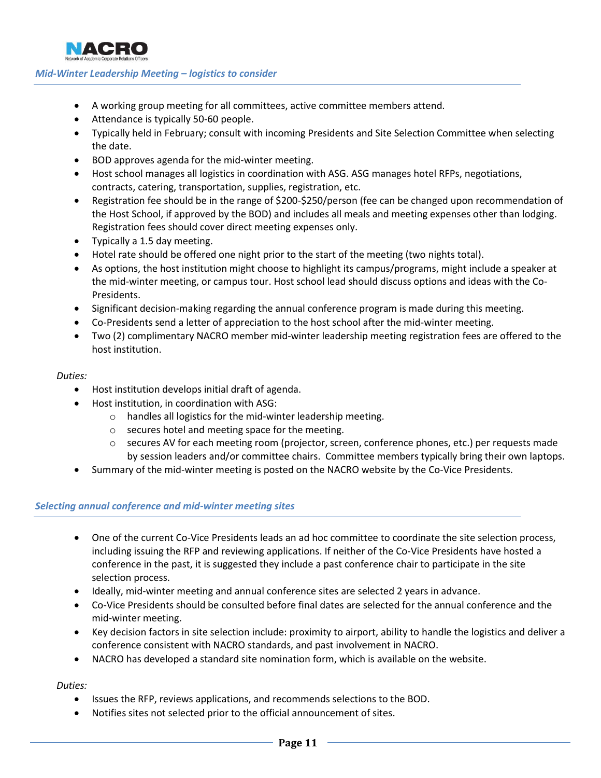

# <span id="page-10-0"></span>*Mid-Winter Leadership Meeting – logistics to consider*

- A working group meeting for all committees, active committee members attend.
- Attendance is typically 50-60 people.
- Typically held in February; consult with incoming Presidents and Site Selection Committee when selecting the date.
- BOD approves agenda for the mid-winter meeting.
- Host school manages all logistics in coordination with ASG. ASG manages hotel RFPs, negotiations, contracts, catering, transportation, supplies, registration, etc.
- Registration fee should be in the range of \$200-\$250/person (fee can be changed upon recommendation of the Host School, if approved by the BOD) and includes all meals and meeting expenses other than lodging. Registration fees should cover direct meeting expenses only.
- Typically a 1.5 day meeting.
- Hotel rate should be offered one night prior to the start of the meeting (two nights total).
- As options, the host institution might choose to highlight its campus/programs, might include a speaker at the mid-winter meeting, or campus tour. Host school lead should discuss options and ideas with the Co-Presidents.
- Significant decision-making regarding the annual conference program is made during this meeting.
- Co-Presidents send a letter of appreciation to the host school after the mid-winter meeting.
- Two (2) complimentary NACRO member mid-winter leadership meeting registration fees are offered to the host institution.

#### *Duties:*

- Host institution develops initial draft of agenda.
- Host institution, in coordination with ASG:
	- o handles all logistics for the mid-winter leadership meeting.
	- o secures hotel and meeting space for the meeting.
	- o secures AV for each meeting room (projector, screen, conference phones, etc.) per requests made by session leaders and/or committee chairs. Committee members typically bring their own laptops.
- Summary of the mid-winter meeting is posted on the NACRO website by the Co-Vice Presidents.

#### <span id="page-10-1"></span>*Selecting annual conference and mid-winter meeting sites*

- One of the current Co-Vice Presidents leads an ad hoc committee to coordinate the site selection process, including issuing the RFP and reviewing applications. If neither of the Co-Vice Presidents have hosted a conference in the past, it is suggested they include a past conference chair to participate in the site selection process.
- Ideally, mid-winter meeting and annual conference sites are selected 2 years in advance.
- Co-Vice Presidents should be consulted before final dates are selected for the annual conference and the mid-winter meeting.
- Key decision factors in site selection include: proximity to airport, ability to handle the logistics and deliver a conference consistent with NACRO standards, and past involvement in NACRO.
- NACRO has developed a standard site nomination form, which is available on the website.

- Issues the RFP, reviews applications, and recommends selections to the BOD.
- Notifies sites not selected prior to the official announcement of sites.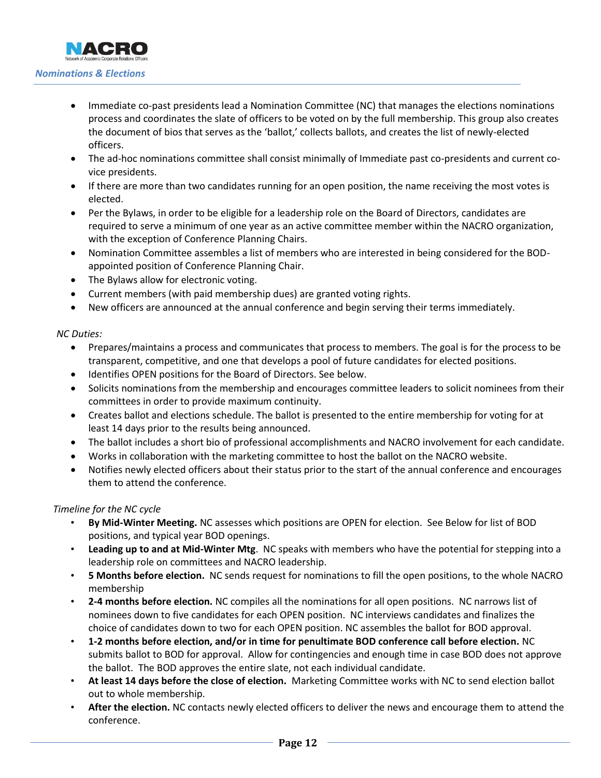- <span id="page-11-0"></span> Immediate co-past presidents lead a Nomination Committee (NC) that manages the elections nominations process and coordinates the slate of officers to be voted on by the full membership. This group also creates the document of bios that serves as the 'ballot,' collects ballots, and creates the list of newly-elected officers.
- The ad-hoc nominations committee shall consist minimally of Immediate past co-presidents and current covice presidents.
- If there are more than two candidates running for an open position, the name receiving the most votes is elected.
- Per the Bylaws, in order to be eligible for a leadership role on the Board of Directors, candidates are required to serve a minimum of one year as an active committee member within the NACRO organization, with the exception of Conference Planning Chairs.
- Nomination Committee assembles a list of members who are interested in being considered for the BODappointed position of Conference Planning Chair.
- The Bylaws allow for electronic voting.
- Current members (with paid membership dues) are granted voting rights.
- New officers are announced at the annual conference and begin serving their terms immediately.

# *NC Duties:*

- Prepares/maintains a process and communicates that process to members. The goal is for the process to be transparent, competitive, and one that develops a pool of future candidates for elected positions.
- Identifies OPEN positions for the Board of Directors. See below.
- Solicits nominations from the membership and encourages committee leaders to solicit nominees from their committees in order to provide maximum continuity.
- Creates ballot and elections schedule. The ballot is presented to the entire membership for voting for at least 14 days prior to the results being announced.
- The ballot includes a short bio of professional accomplishments and NACRO involvement for each candidate.
- Works in collaboration with the marketing committee to host the ballot on the NACRO website.
- Notifies newly elected officers about their status prior to the start of the annual conference and encourages them to attend the conference.

# *Timeline for the NC cycle*

- **By Mid-Winter Meeting.** NC assesses which positions are OPEN for election. See Below for list of BOD positions, and typical year BOD openings.
- **Leading up to and at Mid-Winter Mtg**. NC speaks with members who have the potential for stepping into a leadership role on committees and NACRO leadership.
- **5 Months before election.** NC sends request for nominations to fill the open positions, to the whole NACRO membership
- **2-4 months before election.** NC compiles all the nominations for all open positions. NC narrows list of nominees down to five candidates for each OPEN position. NC interviews candidates and finalizes the choice of candidates down to two for each OPEN position. NC assembles the ballot for BOD approval.
- **1-2 months before election, and/or in time for penultimate BOD conference call before election.** NC submits ballot to BOD for approval. Allow for contingencies and enough time in case BOD does not approve the ballot. The BOD approves the entire slate, not each individual candidate.
- **At least 14 days before the close of election.** Marketing Committee works with NC to send election ballot out to whole membership.
- **After the election.** NC contacts newly elected officers to deliver the news and encourage them to attend the conference.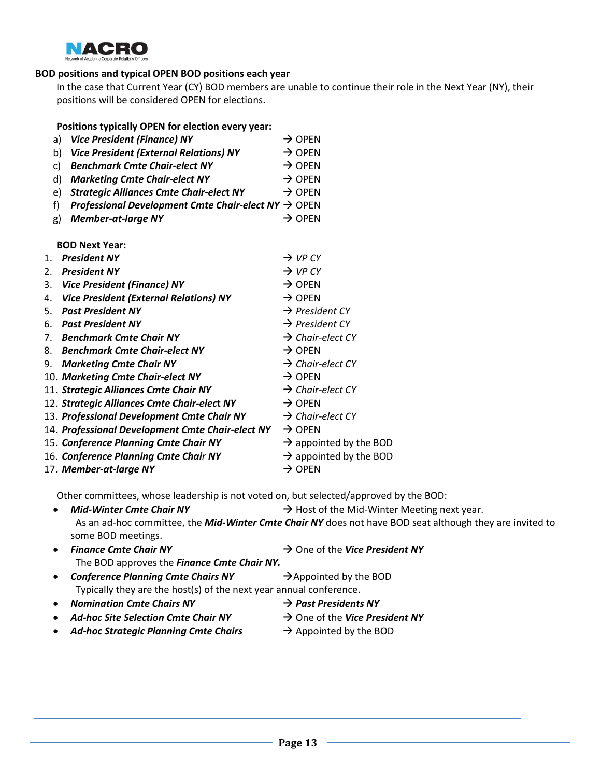

## **BOD positions and typical OPEN BOD positions each year**

In the case that Current Year (CY) BOD members are unable to continue their role in the Next Year (NY), their positions will be considered OPEN for elections.

| Positions typically OPEN for election every year:                                       |                                    |
|-----------------------------------------------------------------------------------------|------------------------------------|
| <b>Vice President (Finance) NY</b><br>a)                                                | $\rightarrow$ OPFN                 |
| <b>Vice President (External Relations) NY</b><br>b)                                     | $\rightarrow$ OPEN                 |
| <b>Benchmark Cmte Chair-elect NY</b><br>C)                                              | $\rightarrow$ OPEN                 |
| <b>Marketing Cmte Chair-elect NY</b><br>d)                                              | $\rightarrow$ OPEN                 |
| <b>Strategic Alliances Cmte Chair-elect NY</b><br>e)                                    | $\rightarrow$ OPEN                 |
| <b>Professional Development Cmte Chair-elect NY <math>\rightarrow</math> OPEN</b><br>f) |                                    |
| <b>Member-at-large NY</b><br>g)                                                         | $\rightarrow$ OPEN                 |
|                                                                                         |                                    |
| <b>BOD Next Year:</b>                                                                   |                                    |
| <b>President NY</b><br>$1_{-}$                                                          | $\rightarrow$ VP CY                |
| <b>President NY</b><br>2.                                                               | $\rightarrow$ VP CY                |
| <b>Vice President (Finance) NY</b><br>3.                                                | $\rightarrow$ OPEN                 |
| <b>Vice President (External Relations) NY</b><br>4.                                     | $\rightarrow$ OPEN                 |
| <b>Past President NY</b><br>5.                                                          | $\rightarrow$ President CY         |
| <b>Past President NY</b><br>6.                                                          | $\rightarrow$ President CY         |
| <b>Benchmark Cmte Chair NY</b><br>7.                                                    | $\rightarrow$ Chair-elect CY       |
| <b>Benchmark Cmte Chair-elect NY</b><br>8.                                              | $\rightarrow$ OPEN                 |
| <b>Marketing Cmte Chair NY</b><br>9.                                                    | $\rightarrow$ Chair-elect CY       |
| 10. Marketing Cmte Chair-elect NY                                                       | $\rightarrow$ OPEN                 |
| 11. Strategic Alliances Cmte Chair NY                                                   | $\rightarrow$ Chair-elect CY       |
| 12. Strategic Alliances Cmte Chair-elect NY                                             | $\rightarrow$ OPEN                 |
| 13. Professional Development Cmte Chair NY                                              | $\rightarrow$ Chair-elect CY       |
| 14. Professional Development Cmte Chair-elect NY                                        | $\rightarrow$ OPEN                 |
| 15. Conference Planning Cmte Chair NY                                                   | $\rightarrow$ appointed by the BOD |
| 16. Conference Planning Cmte Chair NY                                                   | $\rightarrow$ appointed by the BOD |
| 17. Member-at-large NY                                                                  | $\rightarrow$ OPEN                 |
|                                                                                         |                                    |

Other committees, whose leadership is not voted on, but selected/approved by the BOD:

*Mid-Winter Cmte Chair NY*  $\rightarrow$  Host of the Mid-Winter Meeting next year. As an ad-hoc committee, the *Mid-Winter Cmte Chair NY* does not have BOD seat although they are invited to some BOD meetings.

- Finance Cmte Chair NY **Example 2** One of the Vice President NY The BOD approves the *Finance Cmte Chair NY.*
- **Conference Planning Cmte Chairs NY** → Appointed by the BOD Typically they are the host(s) of the next year annual conference.
- *Nomination Cmte Chairs NY* → *Past Presidents NY*
- **•** Ad-hoc Site Selection Cmte Chair NY → One of the Vice President NY
- Ad-hoc Strategic Planning Cmte Chairs  $\rightarrow$  Appointed by the BOD
- 
- -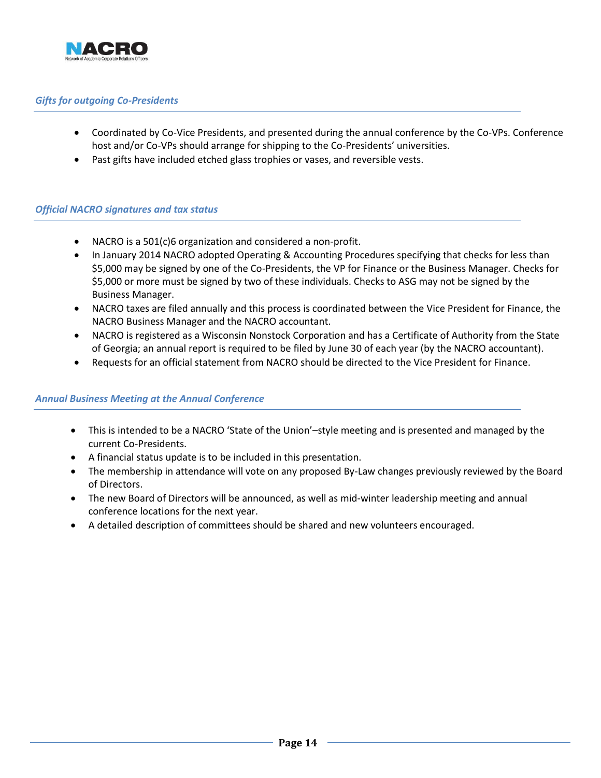

# <span id="page-13-0"></span>*Gifts for outgoing Co-Presidents*

- Coordinated by Co-Vice Presidents, and presented during the annual conference by the Co-VPs. Conference host and/or Co-VPs should arrange for shipping to the Co-Presidents' universities.
- Past gifts have included etched glass trophies or vases, and reversible vests.

### <span id="page-13-1"></span>*Official NACRO signatures and tax status*

- NACRO is a 501(c)6 organization and considered a non-profit.
- In January 2014 NACRO adopted Operating & Accounting Procedures specifying that checks for less than \$5,000 may be signed by one of the Co-Presidents, the VP for Finance or the Business Manager. Checks for \$5,000 or more must be signed by two of these individuals. Checks to ASG may not be signed by the Business Manager.
- NACRO taxes are filed annually and this process is coordinated between the Vice President for Finance, the NACRO Business Manager and the NACRO accountant.
- NACRO is registered as a Wisconsin Nonstock Corporation and has a Certificate of Authority from the State of Georgia; an annual report is required to be filed by June 30 of each year (by the NACRO accountant).
- Requests for an official statement from NACRO should be directed to the Vice President for Finance.

# <span id="page-13-2"></span>*Annual Business Meeting at the Annual Conference*

- This is intended to be a NACRO 'State of the Union'–style meeting and is presented and managed by the current Co-Presidents.
- A financial status update is to be included in this presentation.
- The membership in attendance will vote on any proposed By-Law changes previously reviewed by the Board of Directors.
- The new Board of Directors will be announced, as well as mid-winter leadership meeting and annual conference locations for the next year.
- A detailed description of committees should be shared and new volunteers encouraged.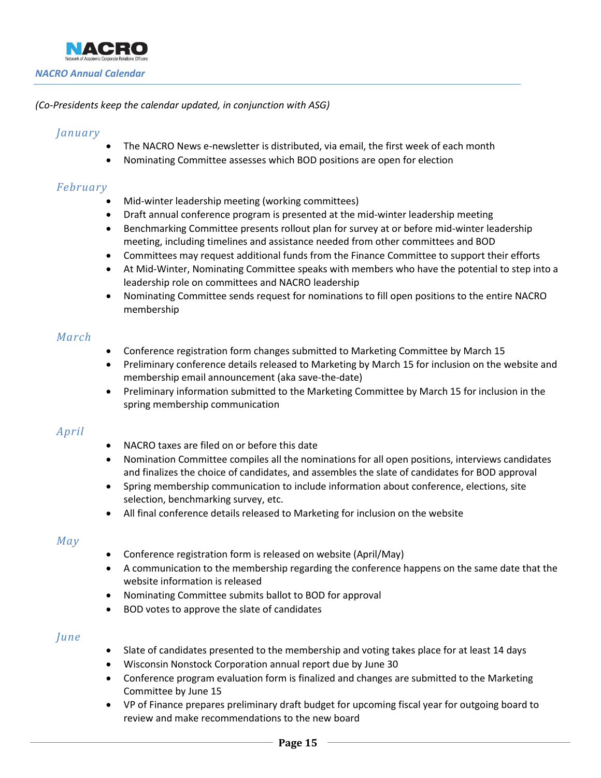<span id="page-14-0"></span>

### *(Co-Presidents keep the calendar updated, in conjunction with ASG)*

# *January*

- The NACRO News e-newsletter is distributed, via email, the first week of each month
- Nominating Committee assesses which BOD positions are open for election

# *February*

- Mid-winter leadership meeting (working committees)
- Draft annual conference program is presented at the mid-winter leadership meeting
- Benchmarking Committee presents rollout plan for survey at or before mid-winter leadership meeting, including timelines and assistance needed from other committees and BOD
- Committees may request additional funds from the Finance Committee to support their efforts
- At Mid-Winter, Nominating Committee speaks with members who have the potential to step into a leadership role on committees and NACRO leadership
- Nominating Committee sends request for nominations to fill open positions to the entire NACRO membership

# *March*

- Conference registration form changes submitted to Marketing Committee by March 15
- Preliminary conference details released to Marketing by March 15 for inclusion on the website and membership email announcement (aka save-the-date)
- Preliminary information submitted to the Marketing Committee by March 15 for inclusion in the spring membership communication

# *April*

- NACRO taxes are filed on or before this date
- Nomination Committee compiles all the nominations for all open positions, interviews candidates and finalizes the choice of candidates, and assembles the slate of candidates for BOD approval
- Spring membership communication to include information about conference, elections, site selection, benchmarking survey, etc.
- All final conference details released to Marketing for inclusion on the website

# *May*

- Conference registration form is released on website (April/May)
- A communication to the membership regarding the conference happens on the same date that the website information is released
- Nominating Committee submits ballot to BOD for approval
- BOD votes to approve the slate of candidates

# *June*

- Slate of candidates presented to the membership and voting takes place for at least 14 days
- Wisconsin Nonstock Corporation annual report due by June 30
- Conference program evaluation form is finalized and changes are submitted to the Marketing Committee by June 15
- VP of Finance prepares preliminary draft budget for upcoming fiscal year for outgoing board to review and make recommendations to the new board